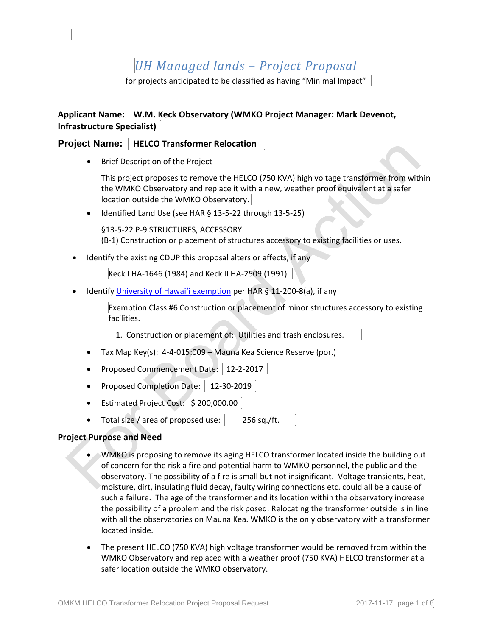# *UH Managed lands – Project Proposal*

for projects anticipated to be classified as having "Minimal Impact"

## Applicant Name: W.M. Keck Observatory (WMKO Project Manager: Mark Devenot, **Infrastructure Specialist)**

## **Project Name: HELCO Transformer Relocation**

Brief Description of the Project

This project proposes to remove the HELCO (750 KVA) high voltage transformer from within the WMKO Observatory and replace it with a new, weather proof equivalent at a safer location outside the WMKO Observatory.

Identified Land Use (see HAR § 13-5-22 through 13-5-25)

§13-5-22 P-9 STRUCTURES, ACCESSORY (B-1) Construction or placement of structures accessory to existing facilities or uses.

Identify the existing CDUP this proposal alters or affects, if any

Keck I HA-1646 (1984) and Keck II HA-2509 (1991)

Identify University of Hawai'i exemption per HAR § 11-200-8(a), if any

Exemption Class #6 Construction or placement of minor structures accessory to existing facilities.

1. Construction or placement of: Utilities and trash enclosures.

- Tax Map Key(s):  $\left|4-4-015:009-\text{Mauna} \right|$  Kea Science Reserve (por.)
- Proposed Commencement Date: | 12-2-2017 |
- Proposed Completion Date: 12-30-2019
- Estimated Project Cost:  $\vert$  \$ 200,000.00  $\vert$
- Total size / area of proposed use: 256 sq./ft.

## **Project Purpose and Need**

- WMKO is proposing to remove its aging HELCO transformer located inside the building out of concern for the risk a fire and potential harm to WMKO personnel, the public and the observatory. The possibility of a fire is small but not insignificant. Voltage transients, heat, moisture, dirt, insulating fluid decay, faulty wiring connections etc. could all be a cause of such a failure. The age of the transformer and its location within the observatory increase the possibility of a problem and the risk posed. Relocating the transformer outside is in line with all the observatories on Mauna Kea. WMKO is the only observatory with a transformer located inside.
- The present HELCO (750 KVA) high voltage transformer would be removed from within the WMKO Observatory and replaced with a weather proof (750 KVA) HELCO transformer at a safer location outside the WMKO observatory.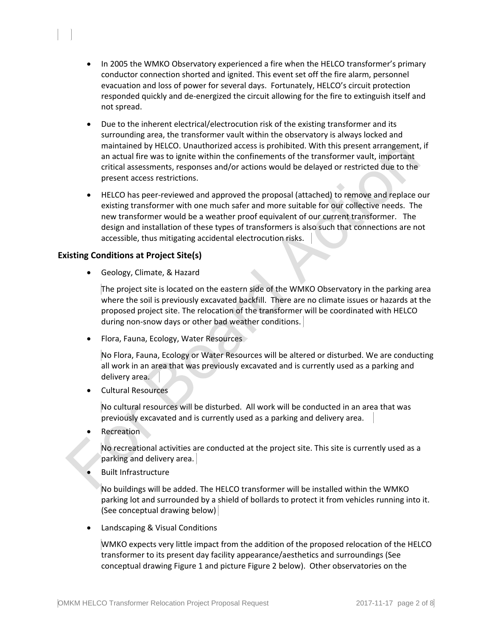- In 2005 the WMKO Observatory experienced a fire when the HELCO transformer's primary conductor connection shorted and ignited. This event set off the fire alarm, personnel evacuation and loss of power for several days. Fortunately, HELCO's circuit protection responded quickly and de-energized the circuit allowing for the fire to extinguish itself and not spread.
- Due to the inherent electrical/electrocution risk of the existing transformer and its surrounding area, the transformer vault within the observatory is always locked and maintained by HELCO. Unauthorized access is prohibited. With this present arrangement, if an actual fire was to ignite within the confinements of the transformer vault, important critical assessments, responses and/or actions would be delayed or restricted due to the present access restrictions.
- HELCO has peer-reviewed and approved the proposal (attached) to remove and replace our existing transformer with one much safer and more suitable for our collective needs. The new transformer would be a weather proof equivalent of our current transformer. The design and installation of these types of transformers is also such that connections are not accessible, thus mitigating accidental electrocution risks.

## **Existing Conditions at Project Site(s)**

Geology, Climate, & Hazard

The project site is located on the eastern side of the WMKO Observatory in the parking area where the soil is previously excavated backfill. There are no climate issues or hazards at the proposed project site. The relocation of the transformer will be coordinated with HELCO during non-snow days or other bad weather conditions.

• Flora, Fauna, Ecology, Water Resources

No Flora, Fauna, Ecology or Water Resources will be altered or disturbed. We are conducting all work in an area that was previously excavated and is currently used as a parking and delivery area.

Cultural Resources

No cultural resources will be disturbed. All work will be conducted in an area that was previously excavated and is currently used as a parking and delivery area.

Recreation

No recreational activities are conducted at the project site. This site is currently used as a parking and delivery area.

Built Infrastructure

No buildings will be added. The HELCO transformer will be installed within the WMKO parking lot and surrounded by a shield of bollards to protect it from vehicles running into it. (See conceptual drawing below)

Landscaping & Visual Conditions

WMKO expects very little impact from the addition of the proposed relocation of the HELCO transformer to its present day facility appearance/aesthetics and surroundings (See conceptual drawing Figure 1 and picture Figure 2 below). Other observatories on the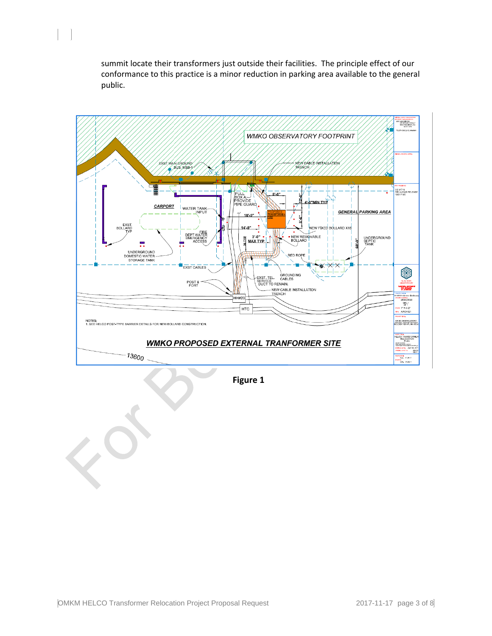summit locate their transformers just outside their facilities. The principle effect of our conformance to this practice is a minor reduction in parking area available to the general public.



 **Figure 1**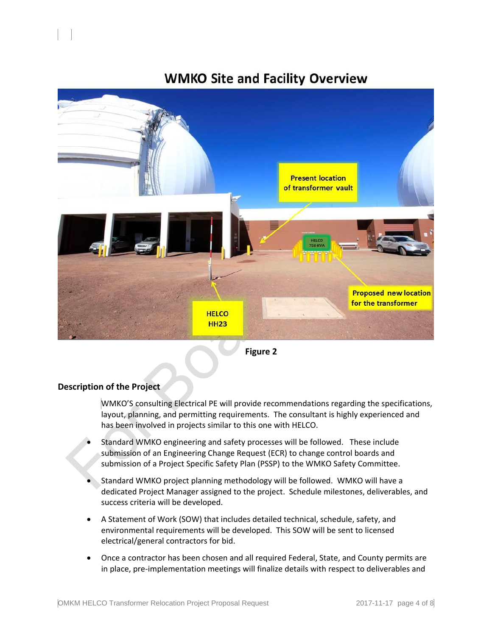

## **WMKO Site and Facility Overview**

 **Figure 2**

## **Description of the Project**

WMKO'S consulting Electrical PE will provide recommendations regarding the specifications, layout, planning, and permitting requirements. The consultant is highly experienced and has been involved in projects similar to this one with HELCO.

- Standard WMKO engineering and safety processes will be followed. These include submission of an Engineering Change Request (ECR) to change control boards and submission of a Project Specific Safety Plan (PSSP) to the WMKO Safety Committee.
- Standard WMKO project planning methodology will be followed. WMKO will have a dedicated Project Manager assigned to the project. Schedule milestones, deliverables, and success criteria will be developed.
- A Statement of Work (SOW) that includes detailed technical, schedule, safety, and environmental requirements will be developed. This SOW will be sent to licensed electrical/general contractors for bid.
- Once a contractor has been chosen and all required Federal, State, and County permits are in place, pre-implementation meetings will finalize details with respect to deliverables and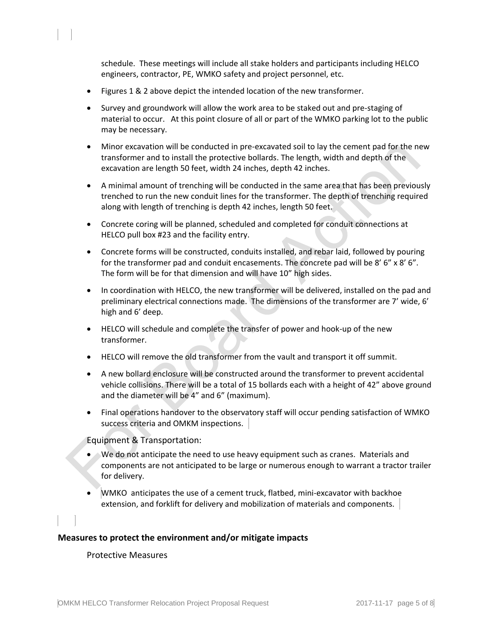schedule. These meetings will include all stake holders and participants including HELCO engineers, contractor, PE, WMKO safety and project personnel, etc.

- Figures 1 & 2 above depict the intended location of the new transformer.
- Survey and groundwork will allow the work area to be staked out and pre-staging of material to occur. At this point closure of all or part of the WMKO parking lot to the public may be necessary.
- Minor excavation will be conducted in pre-excavated soil to lay the cement pad for the new transformer and to install the protective bollards. The length, width and depth of the excavation are length 50 feet, width 24 inches, depth 42 inches.
- A minimal amount of trenching will be conducted in the same area that has been previously trenched to run the new conduit lines for the transformer. The depth of trenching required along with length of trenching is depth 42 inches, length 50 feet.
- Concrete coring will be planned, scheduled and completed for conduit connections at HELCO pull box #23 and the facility entry.
- Concrete forms will be constructed, conduits installed, and rebar laid, followed by pouring for the transformer pad and conduit encasements. The concrete pad will be 8' 6" x 8' 6". The form will be for that dimension and will have 10" high sides.
- In coordination with HELCO, the new transformer will be delivered, installed on the pad and preliminary electrical connections made. The dimensions of the transformer are 7' wide, 6' high and 6' deep.
- HELCO will schedule and complete the transfer of power and hook-up of the new transformer.
- HELCO will remove the old transformer from the vault and transport it off summit.
- A new bollard enclosure will be constructed around the transformer to prevent accidental vehicle collisions. There will be a total of 15 bollards each with a height of 42" above ground and the diameter will be 4" and 6" (maximum).
- Final operations handover to the observatory staff will occur pending satisfaction of WMKO success criteria and OMKM inspections.

Equipment & Transportation:

- We do not anticipate the need to use heavy equipment such as cranes. Materials and components are not anticipated to be large or numerous enough to warrant a tractor trailer for delivery.
- WMKO anticipates the use of a cement truck, flatbed, mini-excavator with backhoe extension, and forklift for delivery and mobilization of materials and components.

## **Measures to protect the environment and/or mitigate impacts**

### Protective Measures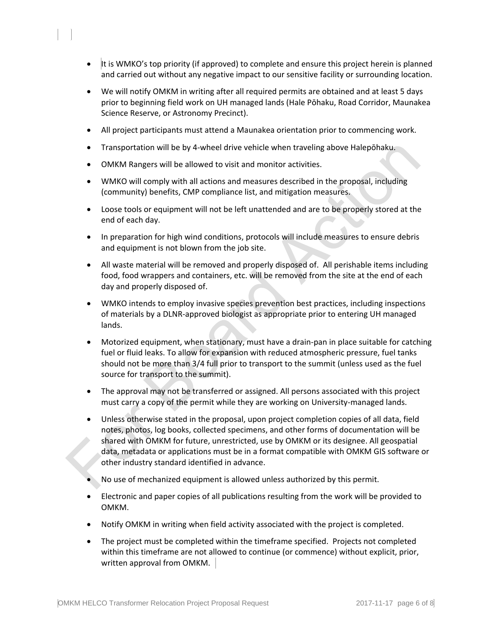- It is WMKO's top priority (if approved) to complete and ensure this project herein is planned and carried out without any negative impact to our sensitive facility or surrounding location.
- We will notify OMKM in writing after all required permits are obtained and at least 5 days prior to beginning field work on UH managed lands (Hale Pōhaku, Road Corridor, Maunakea Science Reserve, or Astronomy Precinct).
- All project participants must attend a Maunakea orientation prior to commencing work.
- Transportation will be by 4-wheel drive vehicle when traveling above Halepōhaku.
- OMKM Rangers will be allowed to visit and monitor activities.
- WMKO will comply with all actions and measures described in the proposal, including (community) benefits, CMP compliance list, and mitigation measures.
- Loose tools or equipment will not be left unattended and are to be properly stored at the end of each day.
- In preparation for high wind conditions, protocols will include measures to ensure debris and equipment is not blown from the job site.
- All waste material will be removed and properly disposed of. All perishable items including food, food wrappers and containers, etc. will be removed from the site at the end of each day and properly disposed of.
- WMKO intends to employ invasive species prevention best practices, including inspections of materials by a DLNR-approved biologist as appropriate prior to entering UH managed lands.
- Motorized equipment, when stationary, must have a drain-pan in place suitable for catching fuel or fluid leaks. To allow for expansion with reduced atmospheric pressure, fuel tanks should not be more than 3/4 full prior to transport to the summit (unless used as the fuel source for transport to the summit).
- The approval may not be transferred or assigned. All persons associated with this project must carry a copy of the permit while they are working on University-managed lands.
- Unless otherwise stated in the proposal, upon project completion copies of all data, field notes, photos, log books, collected specimens, and other forms of documentation will be shared with OMKM for future, unrestricted, use by OMKM or its designee. All geospatial data, metadata or applications must be in a format compatible with OMKM GIS software or other industry standard identified in advance.
- No use of mechanized equipment is allowed unless authorized by this permit.
- Electronic and paper copies of all publications resulting from the work will be provided to OMKM.
- Notify OMKM in writing when field activity associated with the project is completed.
- The project must be completed within the timeframe specified. Projects not completed within this timeframe are not allowed to continue (or commence) without explicit, prior, written approval from OMKM.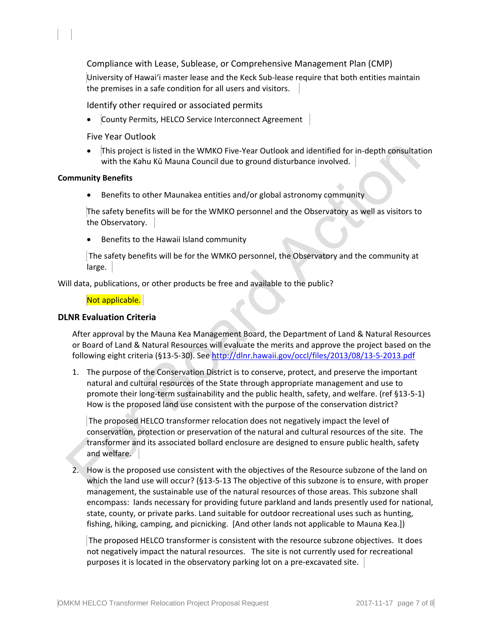Compliance with Lease, Sublease, or Comprehensive Management Plan (CMP)

University of Hawaiʻi master lease and the Keck Sub-lease require that both entities maintain the premises in a safe condition for all users and visitors.

Identify other required or associated permits

County Permits, HELCO Service Interconnect Agreement

Five Year Outlook

 This project is listed in the WMKO Five-Year Outlook and identified for in-depth consultation with the Kahu Kū Mauna Council due to ground disturbance involved.

#### **Community Benefits**

• Benefits to other Maunakea entities and/or global astronomy community

The safety benefits will be for the WMKO personnel and the Observatory as well as visitors to the Observatory.

Benefits to the Hawaii Island community

The safety benefits will be for the WMKO personnel, the Observatory and the community at large.

Will data, publications, or other products be free and available to the public?

#### Not applicable.

#### **DLNR Evaluation Criteria**

After approval by the Mauna Kea Management Board, the Department of Land & Natural Resources or Board of Land & Natural Resources will evaluate the merits and approve the project based on the following eight criteria (§13-5-30). See<http://dlnr.hawaii.gov/occl/files/2013/08/13-5-2013.pdf>

1. The purpose of the Conservation District is to conserve, protect, and preserve the important natural and cultural resources of the State through appropriate management and use to promote their long-term sustainability and the public health, safety, and welfare. (ref §13-5-1) How is the proposed land use consistent with the purpose of the conservation district?

The proposed HELCO transformer relocation does not negatively impact the level of conservation, protection or preservation of the natural and cultural resources of the site. The transformer and its associated bollard enclosure are designed to ensure public health, safety and welfare.

2. How is the proposed use consistent with the objectives of the Resource subzone of the land on which the land use will occur? (§13-5-13 The objective of this subzone is to ensure, with proper management, the sustainable use of the natural resources of those areas. This subzone shall encompass: lands necessary for providing future parkland and lands presently used for national, state, county, or private parks. Land suitable for outdoor recreational uses such as hunting, fishing, hiking, camping, and picnicking. [And other lands not applicable to Mauna Kea.])

The proposed HELCO transformer is consistent with the resource subzone objectives. It does not negatively impact the natural resources. The site is not currently used for recreational purposes it is located in the observatory parking lot on a pre-excavated site.